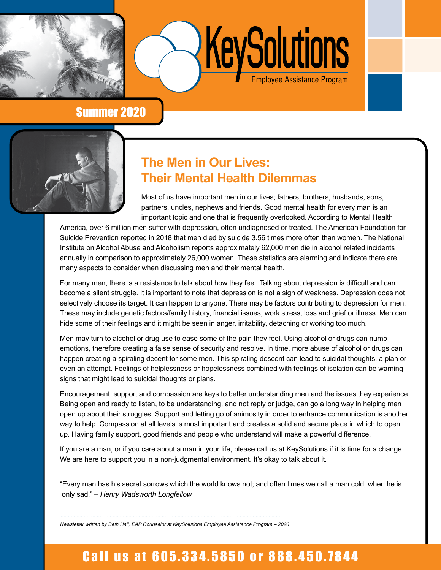

Summer 2020

# **The Men in Our Lives: Their Mental Health Dilemmas**

Most of us have important men in our lives; fathers, brothers, husbands, sons, partners, uncles, nephews and friends. Good mental health for every man is an important topic and one that is frequently overlooked. According to Mental Health

KeySolutions

America, over 6 million men suffer with depression, often undiagnosed or treated. The American Foundation for Suicide Prevention reported in 2018 that men died by suicide 3.56 times more often than women. The National Institute on Alcohol Abuse and Alcoholism reports approximately 62,000 men die in alcohol related incidents annually in comparison to approximately 26,000 women. These statistics are alarming and indicate there are many aspects to consider when discussing men and their mental health.

For many men, there is a resistance to talk about how they feel. Talking about depression is difficult and can become a silent struggle. It is important to note that depression is not a sign of weakness. Depression does not selectively choose its target. It can happen to anyone. There may be factors contributing to depression for men. These may include genetic factors/family history, financial issues, work stress, loss and grief or illness. Men can hide some of their feelings and it might be seen in anger, irritability, detaching or working too much.

Men may turn to alcohol or drug use to ease some of the pain they feel. Using alcohol or drugs can numb emotions, therefore creating a false sense of security and resolve. In time, more abuse of alcohol or drugs can happen creating a spiraling decent for some men. This spiraling descent can lead to suicidal thoughts, a plan or even an attempt. Feelings of helplessness or hopelessness combined with feelings of isolation can be warning signs that might lead to suicidal thoughts or plans.

Encouragement, support and compassion are keys to better understanding men and the issues they experience. Being open and ready to listen, to be understanding, and not reply or judge, can go a long way in helping men open up about their struggles. Support and letting go of animosity in order to enhance communication is another way to help. Compassion at all levels is most important and creates a solid and secure place in which to open up. Having family support, good friends and people who understand will make a powerful difference.

If you are a man, or if you care about a man in your life, please call us at KeySolutions if it is time for a change. We are here to support you in a non-judgmental environment. It's okay to talk about it.

"Every man has his secret sorrows which the world knows not; and often times we call a man cold, when he is only sad." *– Henry Wadsworth Longfellow*

Newsletter written by Beth Hall, EAP Counselor at KeySolutions Employee Assistance Program – 2020

# Call us at 605.334.5850 or 888.450.7844